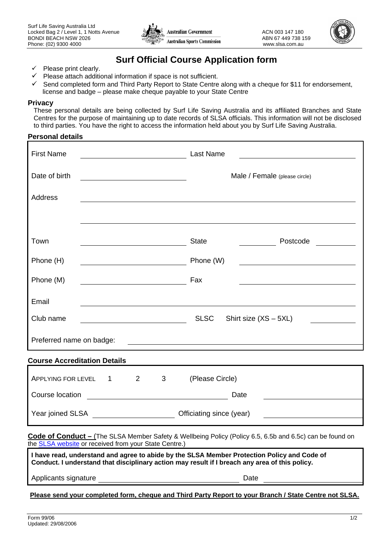



# **Surf Official Course Application form**

- $\checkmark$  Please print clearly.
- $\checkmark$  Please attach additional information if space is not sufficient.
- $\checkmark$  Send completed form and Third Party Report to State Centre along with a cheque for \$11 for endorsement, license and badge – please make cheque payable to your State Centre

#### **Privacy**

These personal details are being collected by Surf Life Saving Australia and its affiliated Branches and State Centres for the purpose of maintaining up to date records of SLSA officials. This information will not be disclosed to third parties. You have the right to access the information held about you by Surf Life Saving Australia.

#### **Personal details**

| <b>First Name</b><br><u> 1980 - Johann Barnett, fransk politik (</u>                                                                                                                          | <b>Last Name</b>                                                                                                       |  |  |
|-----------------------------------------------------------------------------------------------------------------------------------------------------------------------------------------------|------------------------------------------------------------------------------------------------------------------------|--|--|
| Date of birth                                                                                                                                                                                 | Male / Female (please circle)                                                                                          |  |  |
| Address                                                                                                                                                                                       |                                                                                                                        |  |  |
|                                                                                                                                                                                               |                                                                                                                        |  |  |
| Town                                                                                                                                                                                          | <b>State</b><br>Postcode <u>_______</u>                                                                                |  |  |
| Phone (H)                                                                                                                                                                                     | Phone (W)<br><u> 1980 - Johann Barbara, martxa alemaniar a</u>                                                         |  |  |
| Phone (M)<br><u> 1980 - Johann Barbara, martxa alemaniar a</u>                                                                                                                                | Fax                                                                                                                    |  |  |
| Email                                                                                                                                                                                         |                                                                                                                        |  |  |
| Club name                                                                                                                                                                                     | <b>SLSC</b><br>Shirt size $(XS - 5XL)$<br><b>Contract Contract Contract</b>                                            |  |  |
| Preferred name on badge:                                                                                                                                                                      | <u> 1989 - Johann John Stein, fransk politik (d. 1989)</u>                                                             |  |  |
| <b>Course Accreditation Details</b>                                                                                                                                                           |                                                                                                                        |  |  |
| $2^{\sim}$<br>APPLYING FOR LEVEL 1<br>$3^{\circ}$                                                                                                                                             | (Please Circle)                                                                                                        |  |  |
|                                                                                                                                                                                               | Date<br><u> 1989 - Andrea Station Books, amerikansk politik (</u>                                                      |  |  |
| Year joined SLSA ____________________________Officiating since (year)                                                                                                                         | <u> 1989 - John Stein, mars and de Branch and de Branch and de Branch and de Branch and de Branch and de Branch an</u> |  |  |
| Code of Conduct - (The SLSA Member Safety & Wellbeing Policy (Policy 6.5, 6.5b and 6.5c) can be found on<br>the <b>SLSA</b> website or received from your State Centre.)                      |                                                                                                                        |  |  |
| I have read, understand and agree to abide by the SLSA Member Protection Policy and Code of<br>Conduct. I understand that disciplinary action may result if I breach any area of this policy. |                                                                                                                        |  |  |

Applicants signature Date

**Please send your completed form, cheque and Third Party Report to your Branch / State Centre not SLSA.**